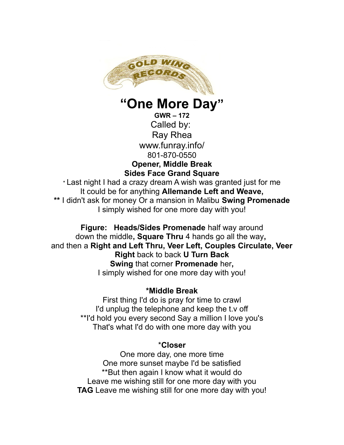

**"One More Day"**

**GWR – 172** Called by: Ray Rhea www.funray.info/ 801-870-0550 **Opener, Middle Break Sides Face Grand Square**

\* Last night I had a crazy dream A wish was granted just for me It could be for anything **Allemande Left and Weave, \*\*** I didn't ask for money Or a mansion in Malibu **Swing Promenade** I simply wished for one more day with you!

**Figure: Heads/Sides Promenade** half way around down the middle**, Square Thru** 4 hands go all the way**,**  and then a **Right and Left Thru, Veer Left, Couples Circulate, Veer Right** back to back **U Turn Back Swing** that corner **Promenade** her**,** I simply wished for one more day with you!

## **\*Middle Break**

First thing I'd do is pray for time to crawl I'd unplug the telephone and keep the t.v off \*\*I'd hold you every second Say a million I love you's That's what I'd do with one more day with you

## \***Closer**

One more day, one more time One more sunset maybe I'd be satisfied \*\*But then again I know what it would do Leave me wishing still for one more day with you **TAG** Leave me wishing still for one more day with you!